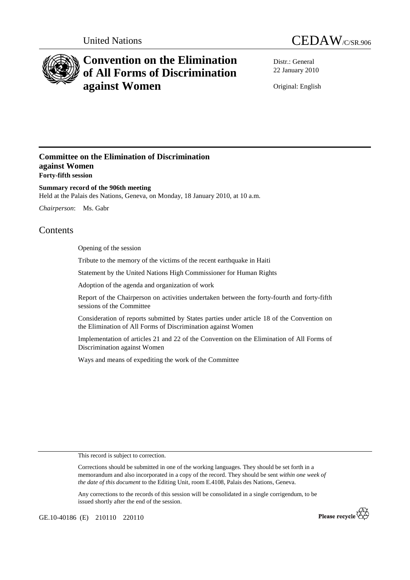



# **Convention on the Elimination of All Forms of Discrimination against Women**

Distr.: General 22 January 2010

Original: English

# **Committee on the Elimination of Discrimination against Women Forty-fifth session**

**Summary record of the 906th meeting**  Held at the Palais des Nations, Geneva, on Monday, 18 January 2010, at 10 a.m.

*Chairperson*: Ms. Gabr

# Contents

Opening of the session

Tribute to the memory of the victims of the recent earthquake in Haiti

Statement by the United Nations High Commissioner for Human Rights

Adoption of the agenda and organization of work

Report of the Chairperson on activities undertaken between the forty-fourth and forty-fifth sessions of the Committee

Consideration of reports submitted by States parties under article 18 of the Convention on the Elimination of All Forms of Discrimination against Women

Implementation of articles 21 and 22 of the Convention on the Elimination of All Forms of Discrimination against Women

Ways and means of expediting the work of the Committee

This record is subject to correction.

Corrections should be submitted in one of the working languages. They should be set forth in a memorandum and also incorporated in a copy of the record. They should be sent *within one week of the date of this document* to the Editing Unit, room E.4108, Palais des Nations, Geneva.

Any corrections to the records of this session will be consolidated in a single corrigendum, to be issued shortly after the end of the session.

GE.10-40186 (E) 210110 220110

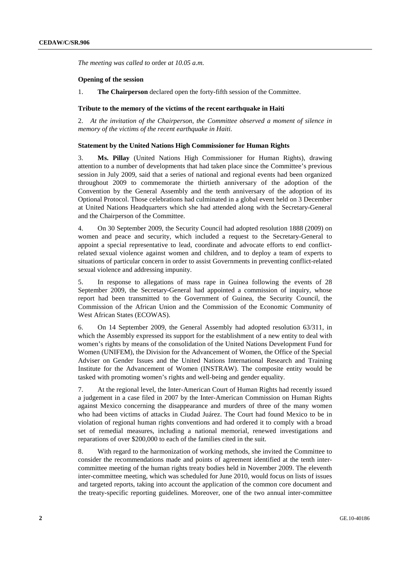*The meeting was called to* order *at 10.05 a.m.*

#### **Opening of the session**

1. **The Chairperson** declared open the forty-fifth session of the Committee.

#### **Tribute to the memory of the victims of the recent earthquake in Haiti**

2. *At the invitation of the Chairperson, the Committee observed a moment of silence in memory of the victims of the recent earthquake in Haiti.* 

#### **Statement by the United Nations High Commissioner for Human Rights**

3. **Ms. Pillay** (United Nations High Commissioner for Human Rights), drawing attention to a number of developments that had taken place since the Committee's previous session in July 2009, said that a series of national and regional events had been organized throughout 2009 to commemorate the thirtieth anniversary of the adoption of the Convention by the General Assembly and the tenth anniversary of the adoption of its Optional Protocol. Those celebrations had culminated in a global event held on 3 December at United Nations Headquarters which she had attended along with the Secretary-General and the Chairperson of the Committee.

4. On 30 September 2009, the Security Council had adopted resolution 1888 (2009) on women and peace and security, which included a request to the Secretary-General to appoint a special representative to lead, coordinate and advocate efforts to end conflictrelated sexual violence against women and children, and to deploy a team of experts to situations of particular concern in order to assist Governments in preventing conflict-related sexual violence and addressing impunity.

5. In response to allegations of mass rape in Guinea following the events of 28 September 2009, the Secretary-General had appointed a commission of inquiry, whose report had been transmitted to the Government of Guinea, the Security Council, the Commission of the African Union and the Commission of the Economic Community of West African States (ECOWAS).

6. On 14 September 2009, the General Assembly had adopted resolution 63/311, in which the Assembly expressed its support for the establishment of a new entity to deal with women's rights by means of the consolidation of the United Nations Development Fund for Women (UNIFEM), the Division for the Advancement of Women, the Office of the Special Adviser on Gender Issues and the United Nations International Research and Training Institute for the Advancement of Women (INSTRAW). The composite entity would be tasked with promoting women's rights and well-being and gender equality.

7. At the regional level, the Inter-American Court of Human Rights had recently issued a judgement in a case filed in 2007 by the Inter-American Commission on Human Rights against Mexico concerning the disappearance and murders of three of the many women who had been victims of attacks in Ciudad Juárez. The Court had found Mexico to be in violation of regional human rights conventions and had ordered it to comply with a broad set of remedial measures, including a national memorial, renewed investigations and reparations of over \$200,000 to each of the families cited in the suit.

8. With regard to the harmonization of working methods, she invited the Committee to consider the recommendations made and points of agreement identified at the tenth intercommittee meeting of the human rights treaty bodies held in November 2009. The eleventh inter-committee meeting, which was scheduled for June 2010, would focus on lists of issues and targeted reports, taking into account the application of the common core document and the treaty-specific reporting guidelines. Moreover, one of the two annual inter-committee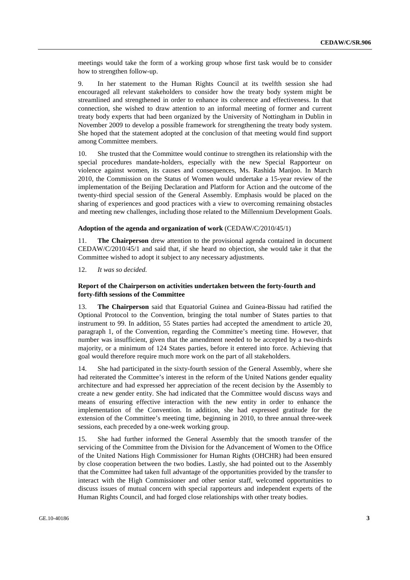meetings would take the form of a working group whose first task would be to consider how to strengthen follow-up.

9. In her statement to the Human Rights Council at its twelfth session she had encouraged all relevant stakeholders to consider how the treaty body system might be streamlined and strengthened in order to enhance its coherence and effectiveness. In that connection, she wished to draw attention to an informal meeting of former and current treaty body experts that had been organized by the University of Nottingham in Dublin in November 2009 to develop a possible framework for strengthening the treaty body system. She hoped that the statement adopted at the conclusion of that meeting would find support among Committee members.

10. She trusted that the Committee would continue to strengthen its relationship with the special procedures mandate-holders, especially with the new Special Rapporteur on violence against women, its causes and consequences, Ms. Rashida Manjoo. In March 2010, the Commission on the Status of Women would undertake a 15-year review of the implementation of the Beijing Declaration and Platform for Action and the outcome of the twenty-third special session of the General Assembly. Emphasis would be placed on the sharing of experiences and good practices with a view to overcoming remaining obstacles and meeting new challenges, including those related to the Millennium Development Goals.

#### **Adoption of the agenda and organization of work** (CEDAW/C/2010/45/1)

11. **The Chairperson** drew attention to the provisional agenda contained in document CEDAW/C/2010/45/1 and said that, if she heard no objection, she would take it that the Committee wished to adopt it subject to any necessary adjustments.

12. *It was so decided.* 

## **Report of the Chairperson on activities undertaken between the forty-fourth and forty-fifth sessions of the Committee**

13. **The Chairperson** said that Equatorial Guinea and Guinea-Bissau had ratified the Optional Protocol to the Convention, bringing the total number of States parties to that instrument to 99. In addition, 55 States parties had accepted the amendment to article 20, paragraph 1, of the Convention, regarding the Committee's meeting time. However, that number was insufficient, given that the amendment needed to be accepted by a two-thirds majority, or a minimum of 124 States parties, before it entered into force. Achieving that goal would therefore require much more work on the part of all stakeholders.

14. She had participated in the sixty-fourth session of the General Assembly, where she had reiterated the Committee's interest in the reform of the United Nations gender equality architecture and had expressed her appreciation of the recent decision by the Assembly to create a new gender entity. She had indicated that the Committee would discuss ways and means of ensuring effective interaction with the new entity in order to enhance the implementation of the Convention. In addition, she had expressed gratitude for the extension of the Committee's meeting time, beginning in 2010, to three annual three-week sessions, each preceded by a one-week working group.

15. She had further informed the General Assembly that the smooth transfer of the servicing of the Committee from the Division for the Advancement of Women to the Office of the United Nations High Commissioner for Human Rights (OHCHR) had been ensured by close cooperation between the two bodies. Lastly, she had pointed out to the Assembly that the Committee had taken full advantage of the opportunities provided by the transfer to interact with the High Commissioner and other senior staff, welcomed opportunities to discuss issues of mutual concern with special rapporteurs and independent experts of the Human Rights Council, and had forged close relationships with other treaty bodies.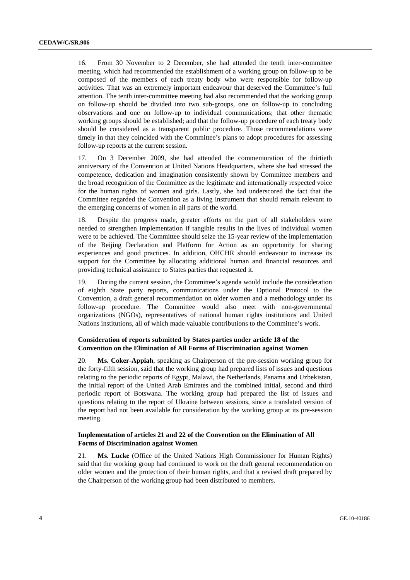16. From 30 November to 2 December, she had attended the tenth inter-committee meeting, which had recommended the establishment of a working group on follow-up to be composed of the members of each treaty body who were responsible for follow-up activities. That was an extremely important endeavour that deserved the Committee's full attention. The tenth inter-committee meeting had also recommended that the working group on follow-up should be divided into two sub-groups, one on follow-up to concluding observations and one on follow-up to individual communications; that other thematic working groups should be established; and that the follow-up procedure of each treaty body should be considered as a transparent public procedure. Those recommendations were timely in that they coincided with the Committee's plans to adopt procedures for assessing follow-up reports at the current session.

17. On 3 December 2009, she had attended the commemoration of the thirtieth anniversary of the Convention at United Nations Headquarters, where she had stressed the competence, dedication and imagination consistently shown by Committee members and the broad recognition of the Committee as the legitimate and internationally respected voice for the human rights of women and girls. Lastly, she had underscored the fact that the Committee regarded the Convention as a living instrument that should remain relevant to the emerging concerns of women in all parts of the world.

18. Despite the progress made, greater efforts on the part of all stakeholders were needed to strengthen implementation if tangible results in the lives of individual women were to be achieved. The Committee should seize the 15-year review of the implementation of the Beijing Declaration and Platform for Action as an opportunity for sharing experiences and good practices. In addition, OHCHR should endeavour to increase its support for the Committee by allocating additional human and financial resources and providing technical assistance to States parties that requested it.

19. During the current session, the Committee's agenda would include the consideration of eighth State party reports, communications under the Optional Protocol to the Convention, a draft general recommendation on older women and a methodology under its follow-up procedure. The Committee would also meet with non-governmental organizations (NGOs), representatives of national human rights institutions and United Nations institutions, all of which made valuable contributions to the Committee's work.

## **Consideration of reports submitted by States parties under article 18 of the Convention on the Elimination of All Forms of Discrimination against Women**

20. **Ms. Coker-Appiah**, speaking as Chairperson of the pre-session working group for the forty-fifth session, said that the working group had prepared lists of issues and questions relating to the periodic reports of Egypt, Malawi, the Netherlands, Panama and Uzbekistan, the initial report of the United Arab Emirates and the combined initial, second and third periodic report of Botswana. The working group had prepared the list of issues and questions relating to the report of Ukraine between sessions, since a translated version of the report had not been available for consideration by the working group at its pre-session meeting.

# **Implementation of articles 21 and 22 of the Convention on the Elimination of All Forms of Discrimination against Women**

21. **Ms. Lucke** (Office of the United Nations High Commissioner for Human Rights) said that the working group had continued to work on the draft general recommendation on older women and the protection of their human rights, and that a revised draft prepared by the Chairperson of the working group had been distributed to members.